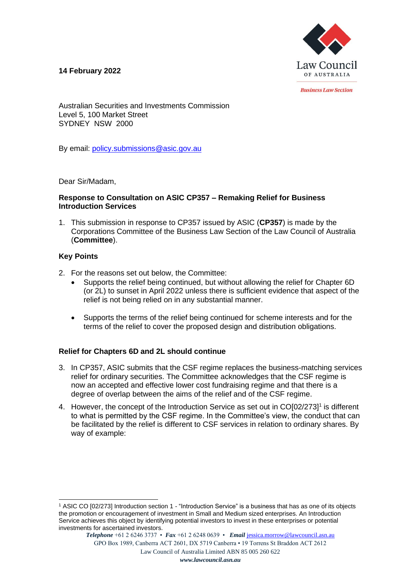## **14 February 2022**



*<u>Rusiness Law Section</u>* 

Australian Securities and Investments Commission Level 5, 100 Market Street SYDNEY NSW 2000

By email: [policy.submissions@asic.gov.au](mailto:policy.submissions@asic.gov.au)

Dear Sir/Madam,

#### **Response to Consultation on ASIC CP357 – Remaking Relief for Business Introduction Services**

1. This submission in response to CP357 issued by ASIC (**CP357**) is made by the Corporations Committee of the Business Law Section of the Law Council of Australia (**Committee**).

### **Key Points**

- 2. For the reasons set out below, the Committee:
	- Supports the relief being continued, but without allowing the relief for Chapter 6D (or 2L) to sunset in April 2022 unless there is sufficient evidence that aspect of the relief is not being relied on in any substantial manner.
	- Supports the terms of the relief being continued for scheme interests and for the terms of the relief to cover the proposed design and distribution obligations.

### **Relief for Chapters 6D and 2L should continue**

- 3. In CP357, ASIC submits that the CSF regime replaces the business-matching services relief for ordinary securities. The Committee acknowledges that the CSF regime is now an accepted and effective lower cost fundraising regime and that there is a degree of overlap between the aims of the relief and of the CSF regime.
- 4. However, the concept of the Introduction Service as set out in CO[02/273]<sup>1</sup> is different to what is permitted by the CSF regime. In the Committee's view, the conduct that can be facilitated by the relief is different to CSF services in relation to ordinary shares. By way of example:

<sup>1</sup> ASIC CO [02/273] Introduction section 1 - "Introduction Service" is a business that has as one of its objects the promotion or encouragement of investment in Small and Medium sized enterprises. An Introduction Service achieves this object by identifying potential investors to invest in these enterprises or potential investments for ascertained investors.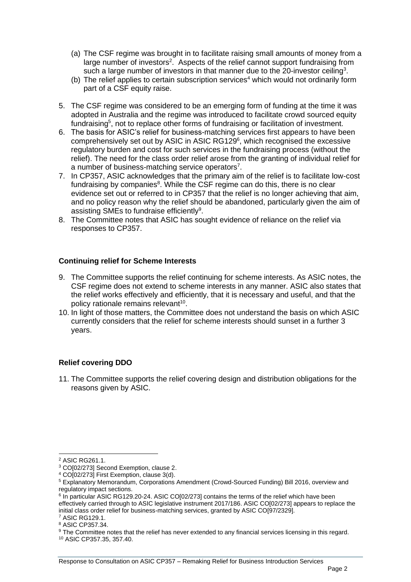- (a) The CSF regime was brought in to facilitate raising small amounts of money from a large number of investors<sup>2</sup>. Aspects of the relief cannot support fundraising from such a large number of investors in that manner due to the 20-investor ceiling<sup>3</sup>.
- (b) The relief applies to certain subscription services<sup>4</sup> which would not ordinarily form part of a CSF equity raise.
- 5. The CSF regime was considered to be an emerging form of funding at the time it was adopted in Australia and the regime was introduced to facilitate crowd sourced equity fundraising<sup>5</sup>, not to replace other forms of fundraising or facilitation of investment.
- 6. The basis for ASIC's relief for business-matching services first appears to have been comprehensively set out by ASIC in ASIC RG129<sup>6</sup>, which recognised the excessive regulatory burden and cost for such services in the fundraising process (without the relief). The need for the class order relief arose from the granting of individual relief for a number of business-matching service operators<sup>7</sup>.
- 7. In CP357, ASIC acknowledges that the primary aim of the relief is to facilitate low-cost fundraising by companies<sup>8</sup>. While the CSF regime can do this, there is no clear evidence set out or referred to in CP357 that the relief is no longer achieving that aim, and no policy reason why the relief should be abandoned, particularly given the aim of assisting SMEs to fundraise efficiently<sup>9</sup>.
- 8. The Committee notes that ASIC has sought evidence of reliance on the relief via responses to CP357.

### **Continuing relief for Scheme Interests**

- 9. The Committee supports the relief continuing for scheme interests. As ASIC notes, the CSF regime does not extend to scheme interests in any manner. ASIC also states that the relief works effectively and efficiently, that it is necessary and useful, and that the policy rationale remains relevant<sup>10</sup>.
- 10. In light of those matters, the Committee does not understand the basis on which ASIC currently considers that the relief for scheme interests should sunset in a further 3 years.

### **Relief covering DDO**

11. The Committee supports the relief covering design and distribution obligations for the reasons given by ASIC.

<sup>2</sup> ASIC RG261.1.

<sup>3</sup> CO[02/273] Second Exemption, clause 2.

<sup>4</sup> CO[02/273] First Exemption, clause 3(d).

<sup>5</sup> Explanatory Memorandum, Corporations Amendment (Crowd-Sourced Funding) Bill 2016, overview and regulatory impact sections.

<sup>&</sup>lt;sup>6</sup> In particular ASIC RG129.20-24. ASIC CO[02/273] contains the terms of the relief which have been effectively carried through to ASIC legislative instrument 2017/186. ASIC CO[02/273] appears to replace the initial class order relief for business-matching services, granted by ASIC CO[97/2329].

<sup>7</sup> ASIC RG129.1.

<sup>8</sup> ASIC CP357.34.

<sup>&</sup>lt;sup>9</sup> The Committee notes that the relief has never extended to any financial services licensing in this regard. <sup>10</sup> ASIC CP357.35, 357.40.